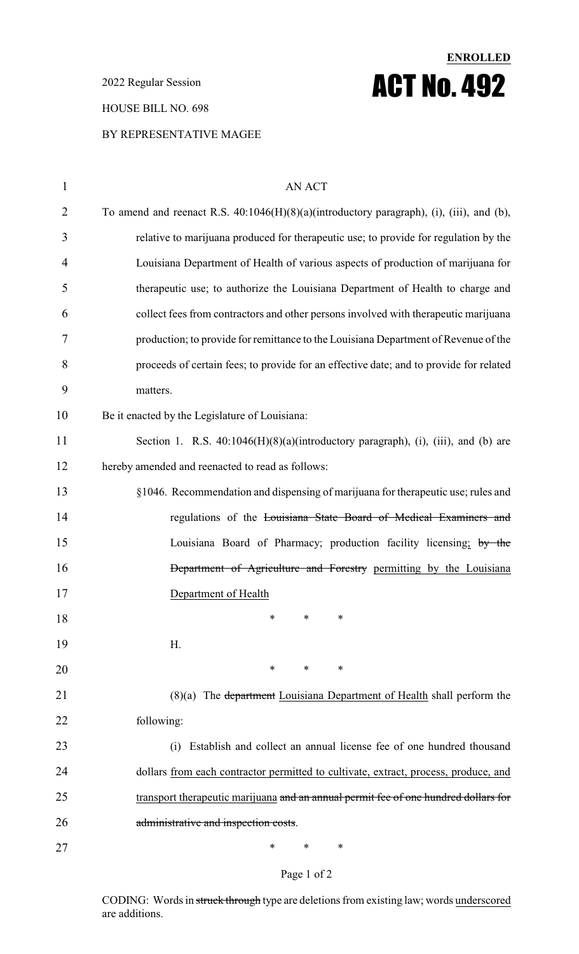2022 Regular Session

### HOUSE BILL NO. 698

### BY REPRESENTATIVE MAGEE

| $\mathbf{1}$   | <b>AN ACT</b>                                                                            |
|----------------|------------------------------------------------------------------------------------------|
| $\overline{2}$ | To amend and reenact R.S. 40:1046(H)(8)(a)(introductory paragraph), (i), (iii), and (b), |
| 3              | relative to marijuana produced for therapeutic use; to provide for regulation by the     |
| 4              | Louisiana Department of Health of various aspects of production of marijuana for         |
| 5              | therapeutic use; to authorize the Louisiana Department of Health to charge and           |
| 6              | collect fees from contractors and other persons involved with therapeutic marijuana      |
| 7              | production; to provide for remittance to the Louisiana Department of Revenue of the      |
| 8              | proceeds of certain fees; to provide for an effective date; and to provide for related   |
| 9              | matters.                                                                                 |
| 10             | Be it enacted by the Legislature of Louisiana:                                           |
| 11             | Section 1. R.S. $40:1046(H)(8)(a)(introductory paragraph), (i), (iii), and (b) are$      |
| 12             | hereby amended and reenacted to read as follows:                                         |
| 13             | §1046. Recommendation and dispensing of marijuana for therapeutic use; rules and         |
| 14             | regulations of the Louisiana State Board of Medical Examiners and                        |
| 15             | Louisiana Board of Pharmacy; production facility licensing; by the                       |
| 16             | Department of Agriculture and Forestry permitting by the Louisiana                       |
| 17             | Department of Health                                                                     |
| 18             | $\ast$<br>$\ast$<br>∗                                                                    |
| 19             | H.                                                                                       |
| 20             | $\ast$<br>$\ast$<br>∗                                                                    |
| 21             | (8)(a) The department Louisiana Department of Health shall perform the                   |
| 22             | following:                                                                               |
| 23             | Establish and collect an annual license fee of one hundred thousand<br>(i)               |
| 24             | dollars from each contractor permitted to cultivate, extract, process, produce, and      |
| 25             | transport therapeutic marijuana and an annual permit fee of one hundred dollars for      |
| 26             | administrative and inspection costs.                                                     |
| 27             | ∗<br>∗<br>∗                                                                              |

**ENROLLED**

ACT No. 492

### Page 1 of 2

CODING: Words in struck through type are deletions from existing law; words underscored are additions.